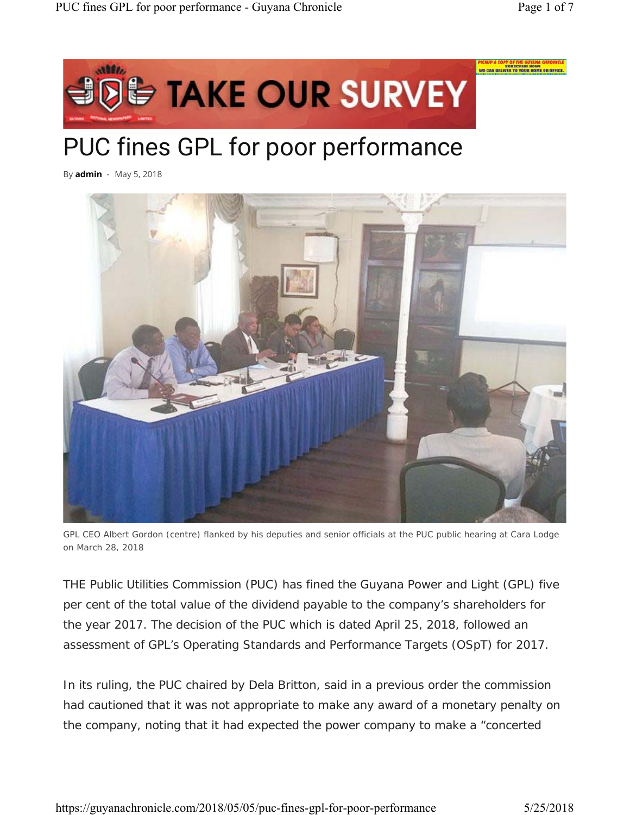

# PUC fines GPL for poor performance

By **admin** - May 5, 2018



*GPL CEO Albert Gordon (centre) flanked by his deputies and senior officials at the PUC public hearing at Cara Lodge on March 28, 2018*

THE Public Utilities Commission (PUC) has fined the Guyana Power and Light (GPL) five per cent of the total value of the dividend payable to the company's shareholders for the year 2017. The decision of the PUC which is dated April 25, 2018, followed an assessment of GPL's Operating Standards and Performance Targets (OSpT) for 2017.

In its ruling, the PUC chaired by Dela Britton, said in a previous order the commission had cautioned that it was not appropriate to make any award of a monetary penalty on the company, noting that it had expected the power company to make a "concerted

https://guyanachronicle.com/2018/05/05/puc-fines-gpl-for-poor-performance 5/25/2018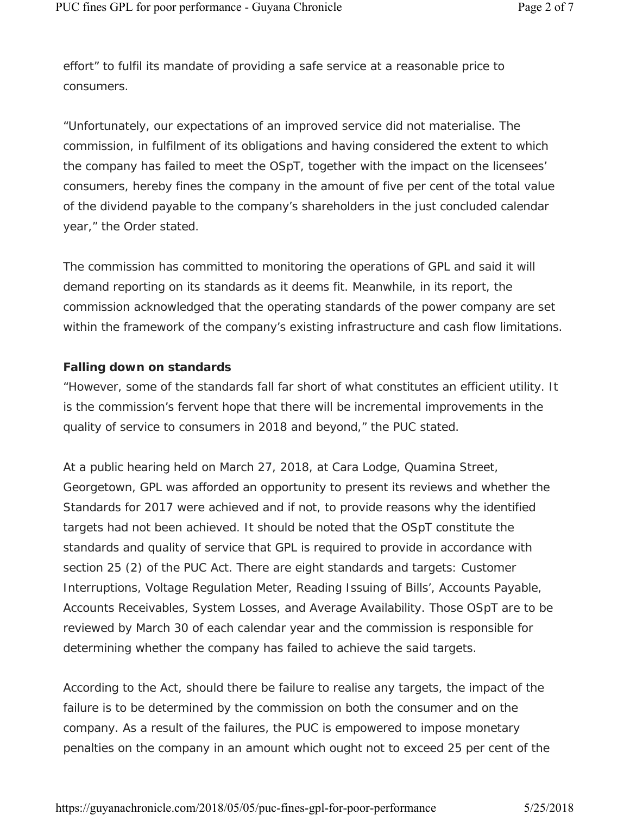effort" to fulfil its mandate of providing a safe service at a reasonable price to consumers.

"Unfortunately, our expectations of an improved service did not materialise. The commission, in fulfilment of its obligations and having considered the extent to which the company has failed to meet the OSpT, together with the impact on the licensees' consumers, hereby fines the company in the amount of five per cent of the total value of the dividend payable to the company's shareholders in the just concluded calendar year," the Order stated.

The commission has committed to monitoring the operations of GPL and said it will demand reporting on its standards as it deems fit. Meanwhile, in its report, the commission acknowledged that the operating standards of the power company are set within the framework of the company's existing infrastructure and cash flow limitations.

#### **Falling down on standards**

"However, some of the standards fall far short of what constitutes an efficient utility. It is the commission's fervent hope that there will be incremental improvements in the quality of service to consumers in 2018 and beyond," the PUC stated.

At a public hearing held on March 27, 2018, at Cara Lodge, Quamina Street, Georgetown, GPL was afforded an opportunity to present its reviews and whether the Standards for 2017 were achieved and if not, to provide reasons why the identified targets had not been achieved. It should be noted that the OSpT constitute the standards and quality of service that GPL is required to provide in accordance with section 25 (2) of the PUC Act. There are eight standards and targets: Customer Interruptions, Voltage Regulation Meter, Reading Issuing of Bills', Accounts Payable, Accounts Receivables, System Losses, and Average Availability. Those OSpT are to be reviewed by March 30 of each calendar year and the commission is responsible for determining whether the company has failed to achieve the said targets.

According to the Act, should there be failure to realise any targets, the impact of the failure is to be determined by the commission on both the consumer and on the company. As a result of the failures, the PUC is empowered to impose monetary penalties on the company in an amount which ought not to exceed 25 per cent of the

https://guyanachronicle.com/2018/05/05/puc-fines-gpl-for-poor-performance 5/25/2018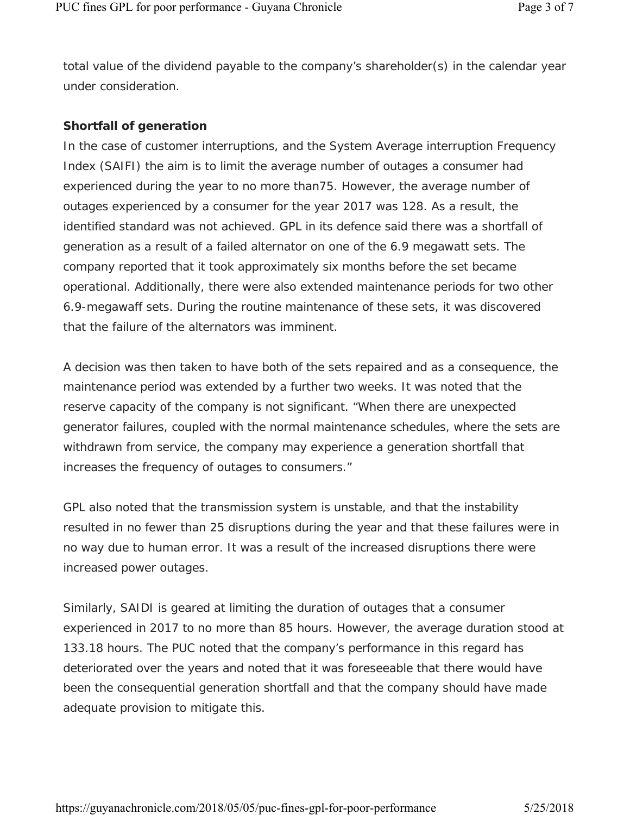total value of the dividend payable to the company's shareholder(s) in the calendar year under consideration.

## **Shortfall of generation**

In the case of customer interruptions, and the System Average interruption Frequency Index (SAIFI) the aim is to limit the average number of outages a consumer had experienced during the year to no more than75. However, the average number of outages experienced by a consumer for the year 2017 was 128. As a result, the identified standard was not achieved. GPL in its defence said there was a shortfall of generation as a result of a failed alternator on one of the 6.9 megawatt sets. The company reported that it took approximately six months before the set became operational. Additionally, there were also extended maintenance periods for two other 6.9-megawaff sets. During the routine maintenance of these sets, it was discovered that the failure of the alternators was imminent.

A decision was then taken to have both of the sets repaired and as a consequence, the maintenance period was extended by a further two weeks. It was noted that the reserve capacity of the company is not significant. "When there are unexpected generator failures, coupled with the normal maintenance schedules, where the sets are withdrawn from service, the company may experience a generation shortfall that increases the frequency of outages to consumers."

GPL also noted that the transmission system is unstable, and that the instability resulted in no fewer than 25 disruptions during the year and that these failures were in no way due to human error. It was a result of the increased disruptions there were increased power outages.

Similarly, SAIDI is geared at limiting the duration of outages that a consumer experienced in 2017 to no more than 85 hours. However, the average duration stood at 133.18 hours. The PUC noted that the company's performance in this regard has deteriorated over the years and noted that it was foreseeable that there would have been the consequential generation shortfall and that the company should have made adequate provision to mitigate this.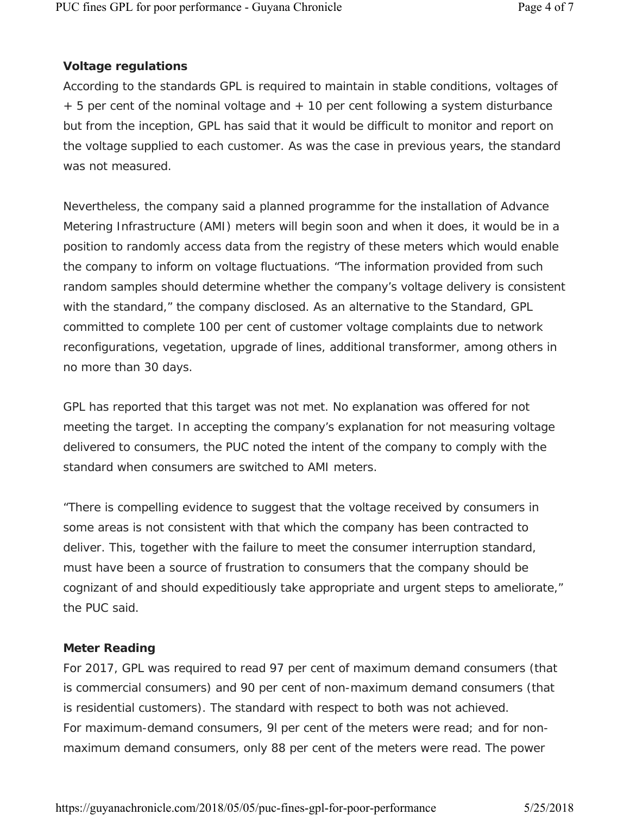# **Voltage regulations**

According to the standards GPL is required to maintain in stable conditions, voltages of + 5 per cent of the nominal voltage and + 10 per cent following a system disturbance but from the inception, GPL has said that it would be difficult to monitor and report on the voltage supplied to each customer. As was the case in previous years, the standard was not measured.

Nevertheless, the company said a planned programme for the installation of Advance Metering Infrastructure (AMI) meters will begin soon and when it does, it would be in a position to randomly access data from the registry of these meters which would enable the company to inform on voltage fluctuations. "The information provided from such random samples should determine whether the company's voltage delivery is consistent with the standard," the company disclosed. As an alternative to the Standard, GPL committed to complete 100 per cent of customer voltage complaints due to network reconfigurations, vegetation, upgrade of lines, additional transformer, among others in no more than 30 days.

GPL has reported that this target was not met. No explanation was offered for not meeting the target. In accepting the company's explanation for not measuring voltage delivered to consumers, the PUC noted the intent of the company to comply with the standard when consumers are switched to AMI meters.

"There is compelling evidence to suggest that the voltage received by consumers in some areas is not consistent with that which the company has been contracted to deliver. This, together with the failure to meet the consumer interruption standard, must have been a source of frustration to consumers that the company should be cognizant of and should expeditiously take appropriate and urgent steps to ameliorate," the PUC said.

# **Meter Reading**

For 2017, GPL was required to read 97 per cent of maximum demand consumers (that is commercial consumers) and 90 per cent of non-maximum demand consumers (that is residential customers). The standard with respect to both was not achieved. For maximum-demand consumers, 9l per cent of the meters were read; and for nonmaximum demand consumers, only 88 per cent of the meters were read. The power

https://guyanachronicle.com/2018/05/05/puc-fines-gpl-for-poor-performance 5/25/2018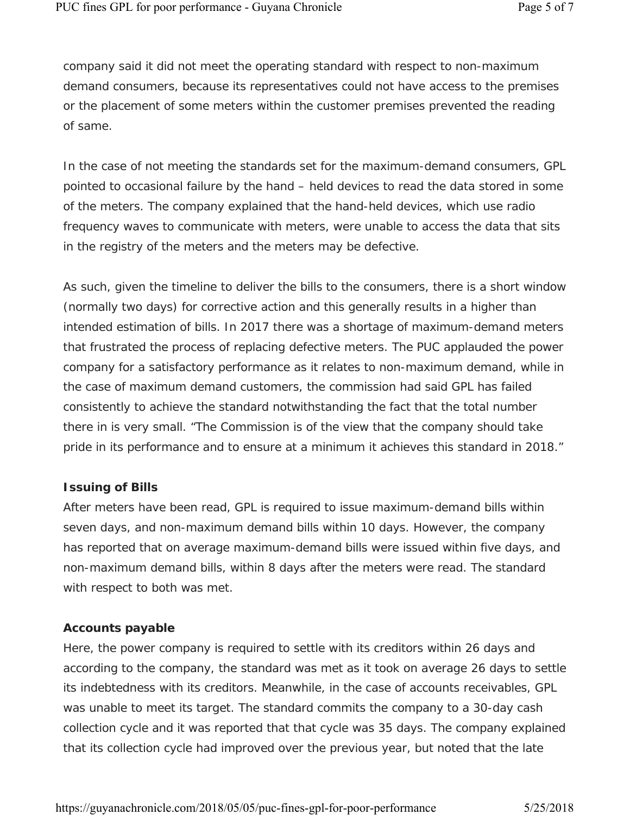company said it did not meet the operating standard with respect to non-maximum demand consumers, because its representatives could not have access to the premises or the placement of some meters within the customer premises prevented the reading of same.

In the case of not meeting the standards set for the maximum-demand consumers, GPL pointed to occasional failure by the hand – held devices to read the data stored in some of the meters. The company explained that the hand-held devices, which use radio frequency waves to communicate with meters, were unable to access the data that sits in the registry of the meters and the meters may be defective.

As such, given the timeline to deliver the bills to the consumers, there is a short window (normally two days) for corrective action and this generally results in a higher than intended estimation of bills. In 2017 there was a shortage of maximum-demand meters that frustrated the process of replacing defective meters. The PUC applauded the power company for a satisfactory performance as it relates to non-maximum demand, while in the case of maximum demand customers, the commission had said GPL has failed consistently to achieve the standard notwithstanding the fact that the total number there in is very small. "The Commission is of the view that the company should take pride in its performance and to ensure at a minimum it achieves this standard in 2018."

#### **Issuing of Bills**

After meters have been read, GPL is required to issue maximum-demand bills within seven days, and non-maximum demand bills within 10 days. However, the company has reported that on average maximum-demand bills were issued within five days, and non-maximum demand bills, within 8 days after the meters were read. The standard with respect to both was met.

# **Accounts payable**

Here, the power company is required to settle with its creditors within 26 days and according to the company, the standard was met as it took on average 26 days to settle its indebtedness with its creditors. Meanwhile, in the case of accounts receivables, GPL was unable to meet its target. The standard commits the company to a 30-day cash collection cycle and it was reported that that cycle was 35 days. The company explained that its collection cycle had improved over the previous year, but noted that the late